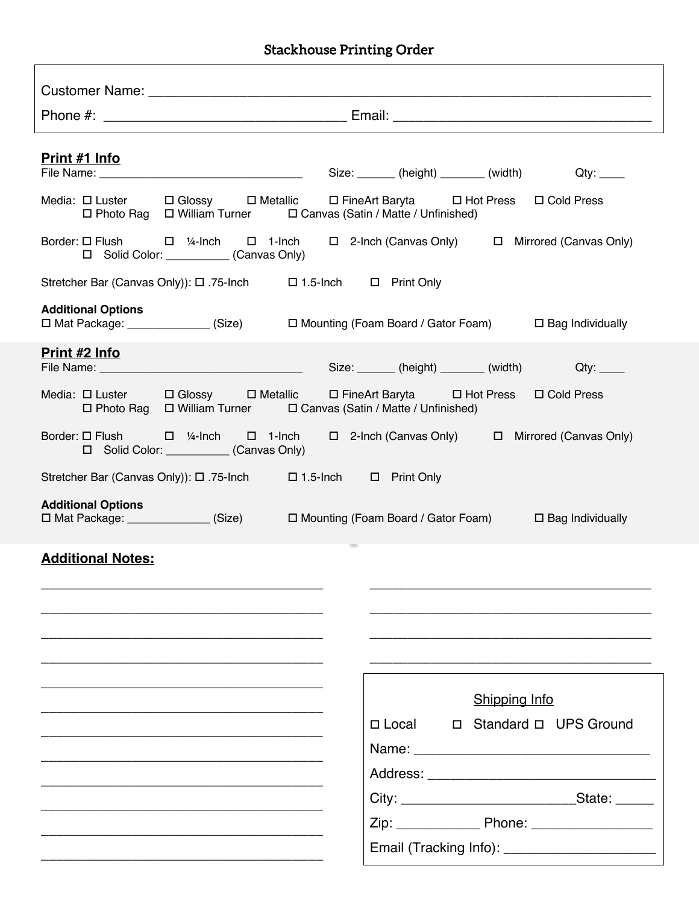## Stackhouse Printing Order

| <u>Print #1 Info</u>                                                                                                                                                              |                                                 |  |  |  |
|-----------------------------------------------------------------------------------------------------------------------------------------------------------------------------------|-------------------------------------------------|--|--|--|
| Media: $\Box$ Luster $\Box$ Glossy $\Box$ Metallic $\Box$ FineArt Baryta $\Box$ Hot Press $\Box$ Cold Press<br>□ Photo Rag □ William Turner □ Canvas (Satin / Matte / Unfinished) |                                                 |  |  |  |
| Border: $\Box$ Flush $\Box$ 1/4-lnch $\Box$ 1-lnch $\Box$ 2-lnch (Canvas Only) $\Box$ Mirrored (Canvas Only)<br>□ Solid Color: (Canvas Only)                                      |                                                 |  |  |  |
| Stretcher Bar (Canvas Only): □ .75-lnch □ 1.5-lnch □ Print Only                                                                                                                   |                                                 |  |  |  |
| <b>Additional Options</b><br>□ Mat Package: _____________(Size) □ Mounting (Foam Board / Gator Foam) □ Bag Individually                                                           |                                                 |  |  |  |
| Print #2 Info                                                                                                                                                                     |                                                 |  |  |  |
| Media: $\Box$ Luster $\Box$ Glossy $\Box$ Metallic $\Box$ FineArt Baryta $\Box$ Hot Press $\Box$ Cold Press<br>□ Photo Rag □ William Turner □ Canvas (Satin / Matte / Unfinished) |                                                 |  |  |  |
| Border: $\Box$ Flush $\Box$ 1/4-lnch $\Box$ 1-lnch $\Box$ 2-lnch (Canvas Only) $\Box$ Mirrored (Canvas Only)<br>□ Solid Color: (Canvas Only)                                      |                                                 |  |  |  |
| Stretcher Bar (Canvas Only)): □ .75-lnch □ 1.5-lnch □ Print Only                                                                                                                  |                                                 |  |  |  |
| <b>Additional Options</b><br>□ Mat Package: _____________(Size) □ Mounting (Foam Board / Gator Foam) □ Bag Individually                                                           |                                                 |  |  |  |
| <b>Additional Notes:</b>                                                                                                                                                          |                                                 |  |  |  |
|                                                                                                                                                                                   |                                                 |  |  |  |
|                                                                                                                                                                                   |                                                 |  |  |  |
|                                                                                                                                                                                   |                                                 |  |  |  |
|                                                                                                                                                                                   | <b>Shipping Info</b>                            |  |  |  |
|                                                                                                                                                                                   | □ Local □ Standard □ UPS Ground                 |  |  |  |
|                                                                                                                                                                                   |                                                 |  |  |  |
|                                                                                                                                                                                   |                                                 |  |  |  |
|                                                                                                                                                                                   |                                                 |  |  |  |
|                                                                                                                                                                                   | Email (Tracking Info): ________________________ |  |  |  |